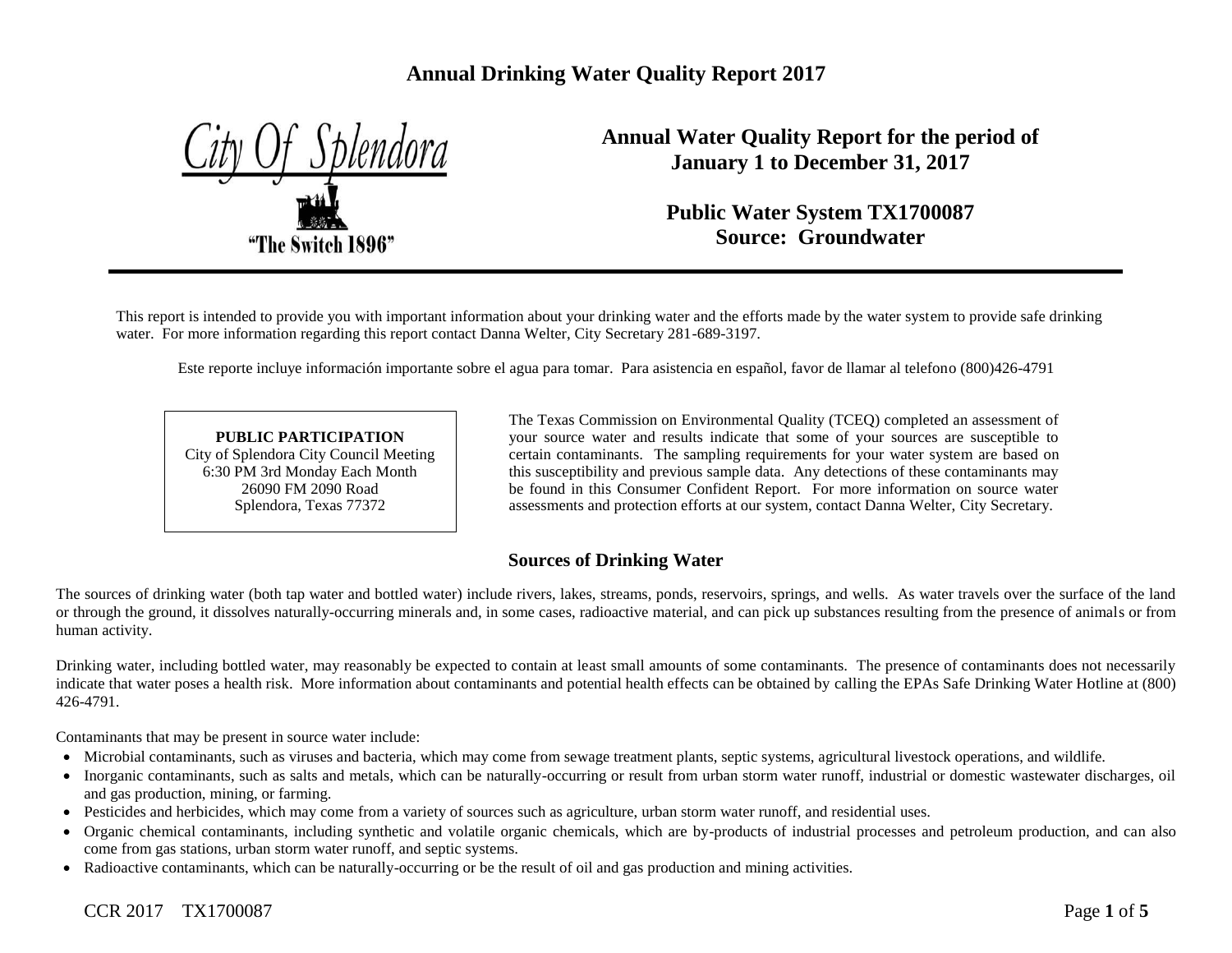# **Annual Drinking Water Quality Report 2017**



**Annual Water Quality Report for the period of January 1 to December 31, 2017**

> **Public Water System TX1700087 Source: Groundwater**

This report is intended to provide you with important information about your drinking water and the efforts made by the water system to provide safe drinking water. For more information regarding this report contact Danna Welter, City Secretary 281-689-3197.

Este reporte incluye información importante sobre el agua para tomar. Para asistencia en español, favor de llamar al telefono (800)426-4791

**PUBLIC PARTICIPATION** City of Splendora City Council Meeting 6:30 PM 3rd Monday Each Month 26090 FM 2090 Road Splendora, Texas 77372

The Texas Commission on Environmental Quality (TCEQ) completed an assessment of your source water and results indicate that some of your sources are susceptible to certain contaminants. The sampling requirements for your water system are based on this susceptibility and previous sample data. Any detections of these contaminants may be found in this Consumer Confident Report. For more information on source water assessments and protection efforts at our system, contact Danna Welter, City Secretary.

## **Sources of Drinking Water**

The sources of drinking water (both tap water and bottled water) include rivers, lakes, streams, ponds, reservoirs, springs, and wells. As water travels over the surface of the land or through the ground, it dissolves naturally-occurring minerals and, in some cases, radioactive material, and can pick up substances resulting from the presence of animals or from human activity.

Drinking water, including bottled water, may reasonably be expected to contain at least small amounts of some contaminants. The presence of contaminants does not necessarily indicate that water poses a health risk. More information about contaminants and potential health effects can be obtained by calling the EPAs Safe Drinking Water Hotline at (800) 426-4791.

Contaminants that may be present in source water include:

- Microbial contaminants, such as viruses and bacteria, which may come from sewage treatment plants, septic systems, agricultural livestock operations, and wildlife.
- Inorganic contaminants, such as salts and metals, which can be naturally-occurring or result from urban storm water runoff, industrial or domestic wastewater discharges, oil and gas production, mining, or farming.
- Pesticides and herbicides, which may come from a variety of sources such as agriculture, urban storm water runoff, and residential uses.
- Organic chemical contaminants, including synthetic and volatile organic chemicals, which are by-products of industrial processes and petroleum production, and can also come from gas stations, urban storm water runoff, and septic systems.
- Radioactive contaminants, which can be naturally-occurring or be the result of oil and gas production and mining activities.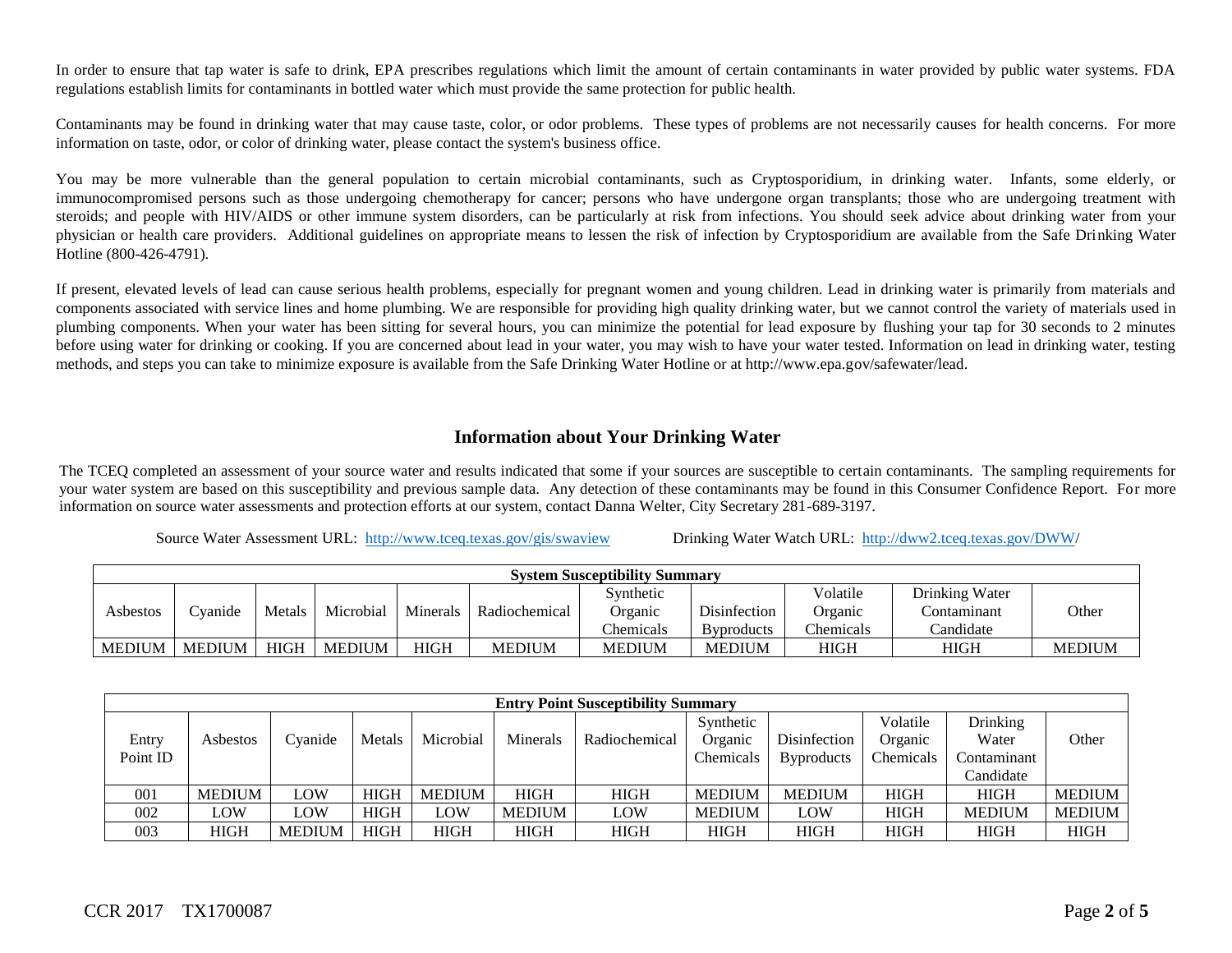In order to ensure that tap water is safe to drink, EPA prescribes regulations which limit the amount of certain contaminants in water provided by public water systems. FDA regulations establish limits for contaminants in bottled water which must provide the same protection for public health.

Contaminants may be found in drinking water that may cause taste, color, or odor problems. These types of problems are not necessarily causes for health concerns. For more information on taste, odor, or color of drinking water, please contact the system's business office.

You may be more vulnerable than the general population to certain microbial contaminants, such as Cryptosporidium, in drinking water. Infants, some elderly, or immunocompromised persons such as those undergoing chemotherapy for cancer; persons who have undergone organ transplants; those who are undergoing treatment with steroids; and people with HIV/AIDS or other immune system disorders, can be particularly at risk from infections. You should seek advice about drinking water from your physician or health care providers. Additional guidelines on appropriate means to lessen the risk of infection by Cryptosporidium are available from the Safe Drinking Water Hotline (800-426-4791).

If present, elevated levels of lead can cause serious health problems, especially for pregnant women and young children. Lead in drinking water is primarily from materials and components associated with service lines and home plumbing. We are responsible for providing high quality drinking water, but we cannot control the variety of materials used in plumbing components. When your water has been sitting for several hours, you can minimize the potential for lead exposure by flushing your tap for 30 seconds to 2 minutes before using water for drinking or cooking. If you are concerned about lead in your water, you may wish to have your water tested. Information on lead in drinking water, testing methods, and steps you can take to minimize exposure is available from the Safe Drinking Water Hotline or at http://www.epa.gov/safewater/lead.

## **Information about Your Drinking Water**

The TCEQ completed an assessment of your source water and results indicated that some if your sources are susceptible to certain contaminants. The sampling requirements for your water system are based on this susceptibility and previous sample data. Any detection of these contaminants may be found in this Consumer Confidence Report. For more information on source water assessments and protection efforts at our system, contact Danna Welter, City Secretary 281-689-3197.

Source Water Assessment URL: <http://www.tceq.texas.gov/gis/swaview>Drinking Water Watch URL: [http://dww2.tceq.texas.gov/DWW/](http://dww2.tceq.texas.gov/DWW)

|               | <b>System Susceptibility Summary</b> |             |               |          |               |               |                    |             |                |               |
|---------------|--------------------------------------|-------------|---------------|----------|---------------|---------------|--------------------|-------------|----------------|---------------|
|               |                                      |             |               |          |               | Synthetic     |                    | Volatile    | Drinking Water |               |
| Asbestos      | <b>Evanide</b>                       | Metals      | Microbial     | Minerals | Radiochemical | Organic       | Disinfection       | Organic     | contaminant    | Other         |
|               |                                      |             |               |          |               | Chemicals     | <b>B</b> yproducts | Chemicals   | Candidate      |               |
| <b>MEDIUM</b> | <b>MEDIUM</b>                        | <b>HIGH</b> | <b>MEDIUM</b> | HIGH     | <b>MEDIUM</b> | <b>MEDIUM</b> | <b>MEDIUM</b>      | <b>HIGH</b> | <b>HIGH</b>    | <b>MEDIUM</b> |

|          | <b>Entry Point Susceptibility Summary</b> |               |             |             |               |               |               |                   |             |               |               |
|----------|-------------------------------------------|---------------|-------------|-------------|---------------|---------------|---------------|-------------------|-------------|---------------|---------------|
|          |                                           |               |             |             |               |               | Synthetic     |                   | Volatile    | Drinking      |               |
| Entry    | Asbestos                                  | Cvanide       | Metals      | Microbial   | Minerals      | Radiochemical | Organic       | Disinfection      | Organic     | Water         | Other         |
| Point ID |                                           |               |             |             |               |               | Chemicals     | <b>Byproducts</b> | Chemicals   | Contaminant   |               |
|          |                                           |               |             |             |               |               |               |                   |             | Candidate     |               |
| 001      | <b>MEDIUM</b>                             | LOW           | <b>HIGH</b> | MEDIUM      | <b>HIGH</b>   | <b>HIGH</b>   | <b>MEDIUM</b> | <b>MEDIUM</b>     | <b>HIGH</b> | <b>HIGH</b>   | <b>MEDIUM</b> |
| 002      | LOW                                       | LOW           | <b>HIGH</b> | LOW         | <b>MEDIUM</b> | LOW           | <b>MEDIUM</b> | LOW               | <b>HIGH</b> | <b>MEDIUM</b> | <b>MEDIUM</b> |
| 003      | <b>HIGH</b>                               | <b>MEDIUM</b> | <b>HIGH</b> | <b>HIGH</b> | <b>HIGH</b>   | <b>HIGH</b>   | <b>HIGH</b>   | HIGH              | <b>HIGH</b> | <b>HIGH</b>   | <b>HIGH</b>   |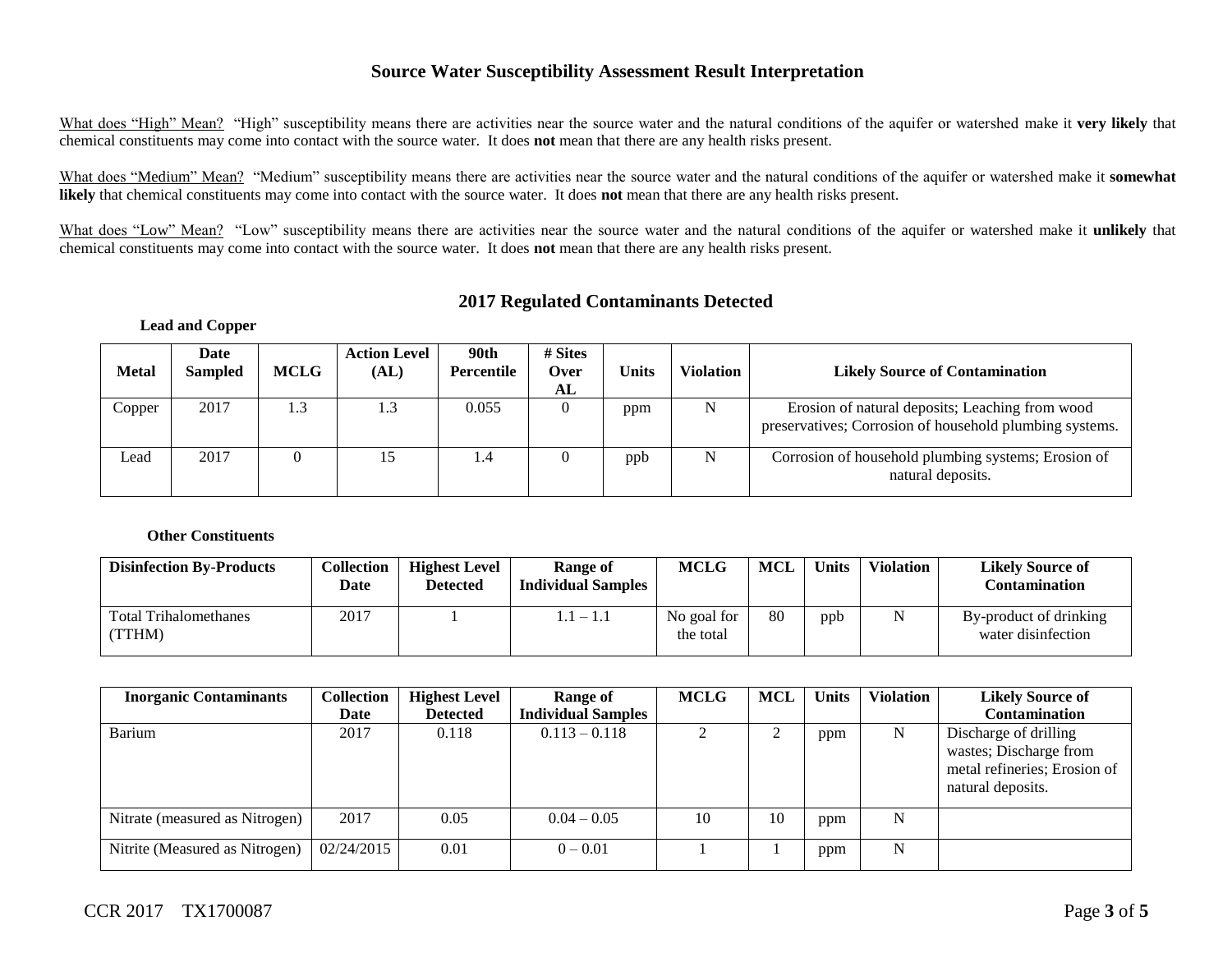#### **Source Water Susceptibility Assessment Result Interpretation**

What does "High" Mean? "High" susceptibility means there are activities near the source water and the natural conditions of the aquifer or watershed make it **very likely** that chemical constituents may come into contact with the source water. It does **not** mean that there are any health risks present.

What does "Medium" Mean? "Medium" susceptibility means there are activities near the source water and the natural conditions of the aquifer or watershed make it **somewhat likely** that chemical constituents may come into contact with the source water. It does **not** mean that there are any health risks present.

What does "Low" Mean? "Low" susceptibility means there are activities near the source water and the natural conditions of the aquifer or watershed make it **unlikely** that chemical constituents may come into contact with the source water. It does **not** mean that there are any health risks present.

## **2017 Regulated Contaminants Detected**

#### **Lead and Copper**

| <b>Metal</b> | Date<br><b>Sampled</b> | <b>MCLG</b> | <b>Action Level</b><br>(AL) | 90th<br>Percentile | # Sites<br><b>Over</b><br>AL | <b>Units</b> | <b>Violation</b> | <b>Likely Source of Contamination</b>                                                                      |
|--------------|------------------------|-------------|-----------------------------|--------------------|------------------------------|--------------|------------------|------------------------------------------------------------------------------------------------------------|
| Copper       | 2017                   | 1.3         | 1.3                         | 0.055              |                              | ppm          | N                | Erosion of natural deposits; Leaching from wood<br>preservatives; Corrosion of household plumbing systems. |
| Lead         | 2017                   |             |                             | 4.4                |                              | ppb          | N                | Corrosion of household plumbing systems; Erosion of<br>natural deposits.                                   |

#### **Other Constituents**

| <b>Disinfection By-Products</b>        | <b>Collection</b><br>Date | <b>Highest Level</b><br>Detected | Range of<br><b>Individual Samples</b> | <b>MCLG</b>              | MCL | <b>Units</b> | <b>Violation</b> | <b>Likely Source of</b><br>Contamination     |
|----------------------------------------|---------------------------|----------------------------------|---------------------------------------|--------------------------|-----|--------------|------------------|----------------------------------------------|
| <b>Total Trihalomethanes</b><br>(TTHM) | 2017                      |                                  | $1.1-1.1$                             | No goal for<br>the total | 80  | ppb          |                  | By-product of drinking<br>water disinfection |

| <b>Inorganic Contaminants</b>  | <b>Collection</b><br>Date | <b>Highest Level</b><br><b>Detected</b> | Range of<br><b>Individual Samples</b> | <b>MCLG</b> | MCL | <b>Units</b> | <b>Violation</b> | <b>Likely Source of</b><br><b>Contamination</b>                                                      |
|--------------------------------|---------------------------|-----------------------------------------|---------------------------------------|-------------|-----|--------------|------------------|------------------------------------------------------------------------------------------------------|
| Barium                         | 2017                      | 0.118                                   | $0.113 - 0.118$                       |             |     | ppm          | N                | Discharge of drilling<br>wastes; Discharge from<br>metal refineries; Erosion of<br>natural deposits. |
| Nitrate (measured as Nitrogen) | 2017                      | 0.05                                    | $0.04 - 0.05$                         | 10          | 10  | ppm          | N                |                                                                                                      |
| Nitrite (Measured as Nitrogen) | 02/24/2015                | 0.01                                    | $0 - 0.01$                            |             |     | ppm          | N                |                                                                                                      |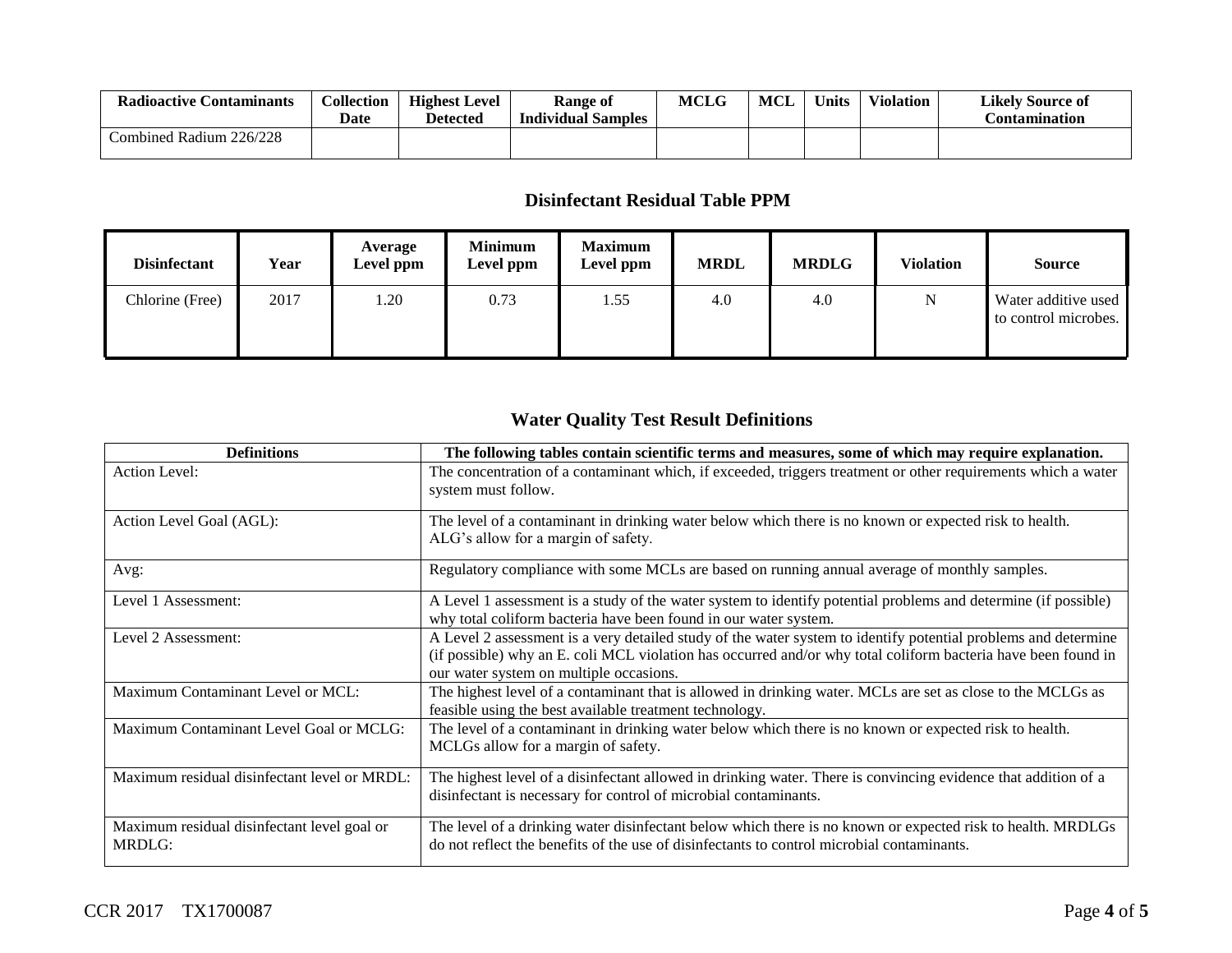| <b>Radioactive Contaminants</b> | Collection<br>Date | <b>Highest Level</b><br><b>Detected</b> | Range of<br><b>Individual Samples</b> | <b>MCLG</b> | MCL | Units | <b>Violation</b> | <b>Likely Source of</b><br>Contamination |
|---------------------------------|--------------------|-----------------------------------------|---------------------------------------|-------------|-----|-------|------------------|------------------------------------------|
| Combined Radium 226/228         |                    |                                         |                                       |             |     |       |                  |                                          |

## **Disinfectant Residual Table PPM**

| <b>Disinfectant</b> | Year | Average<br>Level ppm | <b>Minimum</b><br>Level ppm | <b>Maximum</b><br>Level ppm | <b>MRDL</b> | <b>MRDLG</b> | <b>Violation</b> | <b>Source</b>                               |
|---------------------|------|----------------------|-----------------------------|-----------------------------|-------------|--------------|------------------|---------------------------------------------|
| Chlorine (Free)     | 2017 | .20                  | 0.73                        | 1.55                        | 4.0         | 4.0          | N                | Water additive used<br>to control microbes. |

# **Water Quality Test Result Definitions**

| <b>Definitions</b>                                    | The following tables contain scientific terms and measures, some of which may require explanation.                                                                                                                                                                         |
|-------------------------------------------------------|----------------------------------------------------------------------------------------------------------------------------------------------------------------------------------------------------------------------------------------------------------------------------|
| Action Level:                                         | The concentration of a contaminant which, if exceeded, triggers treatment or other requirements which a water<br>system must follow.                                                                                                                                       |
| Action Level Goal (AGL):                              | The level of a contaminant in drinking water below which there is no known or expected risk to health.<br>ALG's allow for a margin of safety.                                                                                                                              |
| Avg:                                                  | Regulatory compliance with some MCLs are based on running annual average of monthly samples.                                                                                                                                                                               |
| Level 1 Assessment:                                   | A Level 1 assessment is a study of the water system to identify potential problems and determine (if possible)<br>why total coliform bacteria have been found in our water system.                                                                                         |
| Level 2 Assessment:                                   | A Level 2 assessment is a very detailed study of the water system to identify potential problems and determine<br>(if possible) why an E. coli MCL violation has occurred and/or why total coliform bacteria have been found in<br>our water system on multiple occasions. |
| Maximum Contaminant Level or MCL:                     | The highest level of a contaminant that is allowed in drinking water. MCLs are set as close to the MCLGs as<br>feasible using the best available treatment technology.                                                                                                     |
| Maximum Contaminant Level Goal or MCLG:               | The level of a contaminant in drinking water below which there is no known or expected risk to health.<br>MCLGs allow for a margin of safety.                                                                                                                              |
| Maximum residual disinfectant level or MRDL:          | The highest level of a disinfectant allowed in drinking water. There is convincing evidence that addition of a<br>disinfectant is necessary for control of microbial contaminants.                                                                                         |
| Maximum residual disinfectant level goal or<br>MRDLG: | The level of a drinking water disinfectant below which there is no known or expected risk to health. MRDLGs<br>do not reflect the benefits of the use of disinfectants to control microbial contaminants.                                                                  |